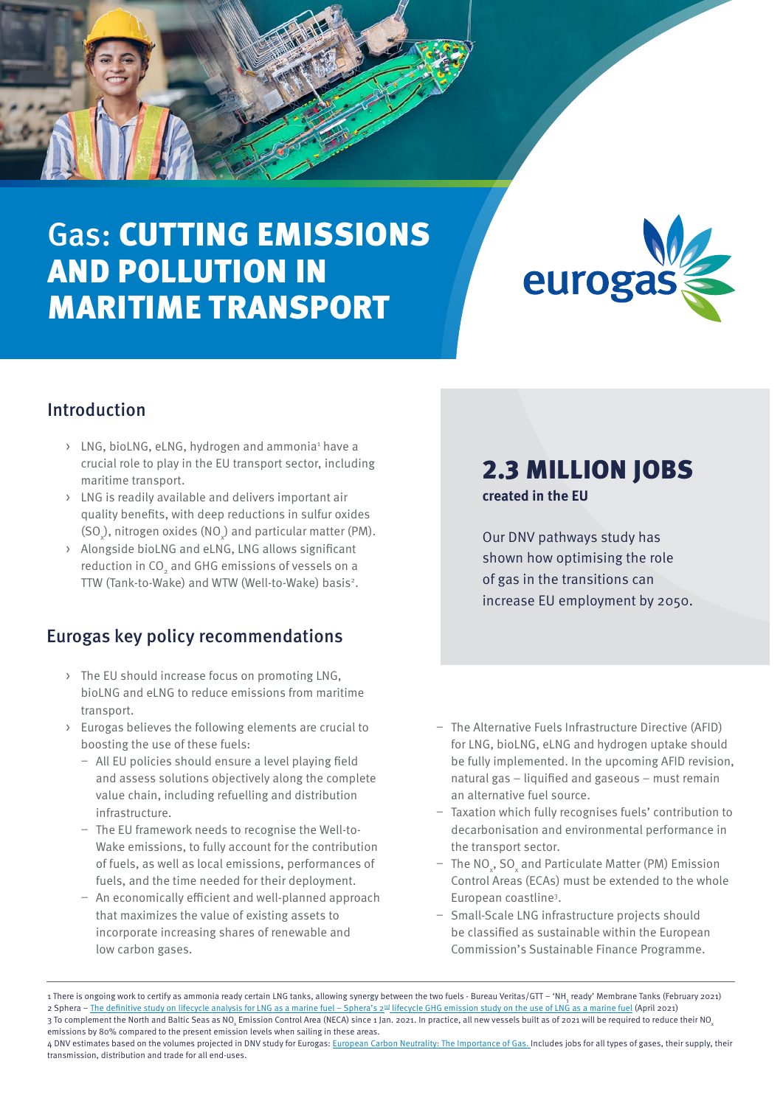# Gas: CUTTING EMISSIONS AND POLLUTION IN MARITIME TRANSPORT



#### Introduction

- > LNG, bioLNG, eLNG, hydrogen and ammonia<sup>1</sup> have a crucial role to play in the EU transport sector, including maritime transport.
- > LNG is readily available and delivers important air quality benefits, with deep reductions in sulfur oxides  $(SO_\chi)$ , nitrogen oxides (NO<sub> $_\chi$ </sub>) and particular matter (PM).
- > Alongside bioLNG and eLNG, LNG allows significant reduction in CO $_{_2}$  and GHG emissions of vessels on a TTW (Tank-to-Wake) and WTW (Well-to-Wake) basis<sup>2</sup>.

#### Eurogas key policy recommendations

- > The EU should increase focus on promoting LNG, bioLNG and eLNG to reduce emissions from maritime transport.
- > Eurogas believes the following elements are crucial to boosting the use of these fuels:
	- All EU policies should ensure a level playing field and assess solutions objectively along the complete value chain, including refuelling and distribution infrastructure.
	- The EU framework needs to recognise the Well-to-Wake emissions, to fully account for the contribution of fuels, as well as local emissions, performances of fuels, and the time needed for their deployment.
	- An economically efficient and well-planned approach that maximizes the value of existing assets to incorporate increasing shares of renewable and low carbon gases.

## 2.3 MILLION JOBS

**created in the EU**

Our DNV pathways study has shown how optimising the role of gas in the transitions can increase EU employment by 2050.

- The Alternative Fuels Infrastructure Directive (AFID) for LNG, bioLNG, eLNG and hydrogen uptake should be fully implemented. In the upcoming AFID revision, natural gas – liquified and gaseous – must remain an alternative fuel source.
- Taxation which fully recognises fuels' contribution to decarbonisation and environmental performance in the transport sector.
- $-$  The NO<sub>x</sub>, SO<sub>x</sub> and Particulate Matter (PM) Emission Control Areas (ECAs) must be extended to the whole European coastline3 .
- Small-Scale LNG infrastructure projects should be classified as sustainable within the European Commission's Sustainable Finance Programme.

<sup>1</sup> There is ongoing work to certify as ammonia ready certain LNG tanks, allowing synergy between the two fuels - Bureau Veritas/GTT – 'NH<sub>3</sub> ready' Membrane Tanks (February 2021) 2 Sphera – The definitive study on lifecycle analysis for LNG as a marine fuel – Sphera's 2<sup>nd</sup> lifecycle GHG emission study on the use of LNG as a marine fuel (April 2021) 3 To complement the North and Baltic Seas as NO<sub>x</sub> Emission Control Area (NECA) since 1 Jan. 2021. In practice, all new vessels built as of 2021 will be required to reduce their NO<sub>x</sub> emissions by 80% compared to the present emission levels when sailing in these areas.

<sup>4</sup> DNV estimates based on the volumes projected in DNV study for Eurogas: European Carbon Neutrality: The Importance of Gas. Includes jobs for all types of gases, their supply, their [transmission, distribution and trade for all end-uses.](https://eurogas.org/website/wp-content/uploads/2020/06/DNV-GL-Eurogas-Report-Reaching-European-Carbon-Neutrality-Full-Report.pdf)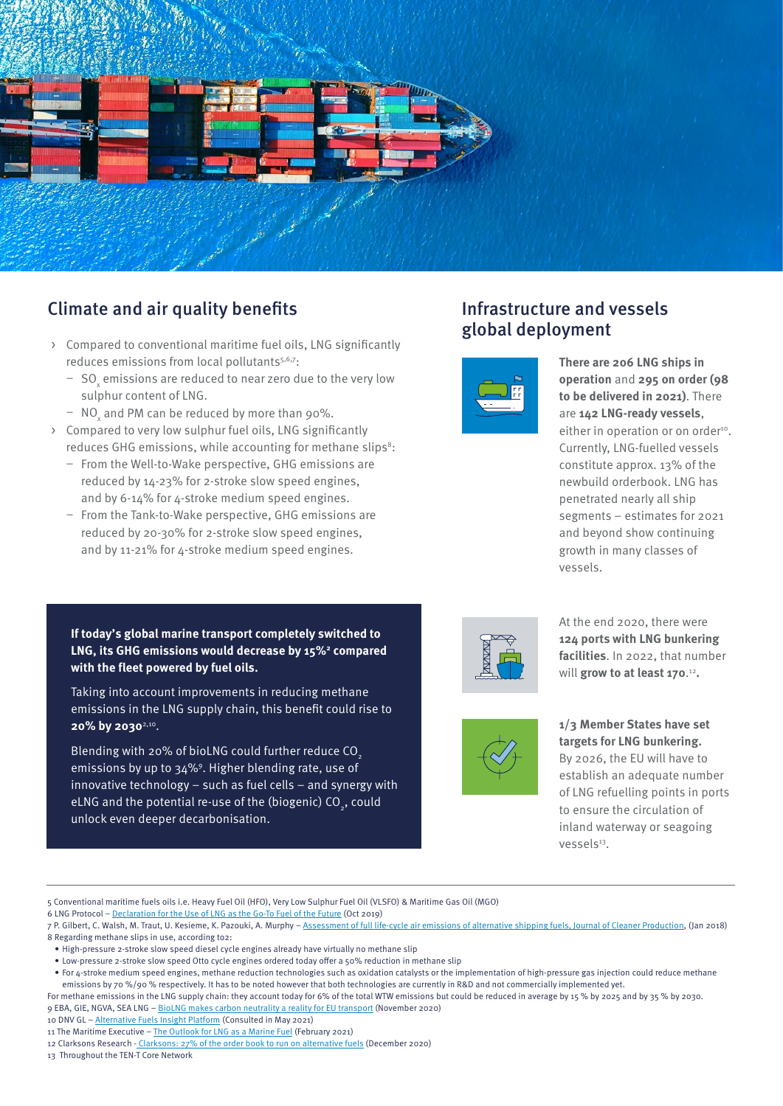

#### Climate and air quality benefits

- > Compared to conventional maritime fuel oils, LNG significantly reduces emissions from local pollutants<sup>5,6,7</sup>:
	- $-$  SO $_{\mathrm{x}}^{\mathrm{}}$  emissions are reduced to near zero due to the very low sulphur content of LNG.
	- $-$  NO<sub>x</sub> and PM can be reduced by more than 90%.
- > Compared to very low sulphur fuel oils, LNG significantly reduces GHG emissions, while accounting for methane slips<sup>8</sup>:
	- From the Well-to-Wake perspective, GHG emissions are reduced by 14-23% for 2-stroke slow speed engines, and by 6-14% for 4-stroke medium speed engines.
	- From the Tank-to-Wake perspective, GHG emissions are reduced by 20-30% for 2-stroke slow speed engines, and by 11-21% for 4-stroke medium speed engines.

**If today's global marine transport completely switched to**  LNG, its GHG emissions would decrease by 15%<sup>2</sup> compared **with the fleet powered by fuel oils.** 

Taking into account improvements in reducing methane emissions in the LNG supply chain, this benefit could rise to **20% by 2030**2,10.

Blending with 20% of bioLNG could further reduce CO<sub>2</sub> emissions by up to 34%9. Higher blending rate, use of innovative technology – such as fuel cells – and synergy with eLNG and the potential re-use of the (biogenic) CO<sub>2</sub>, could unlock even deeper decarbonisation.

#### Infrastructure and vessels global deployment



**There are 206 LNG ships in operation** and **295 on order (98 to be delivered in 2021)**. There are **142 LNG-ready vessels**, either in operation or on order<sup>10</sup>. Currently, LNG-fuelled vessels constitute approx. 13% of the newbuild orderbook. LNG has penetrated nearly all ship segments – estimates for 2021 and beyond show continuing growth in many classes of vessels.



At the end 2020, there were **124 ports with LNG bunkering facilities**. In 2022, that number will grow to at least 170.<sup>12</sup>.



**1/3 Member States have set targets for LNG bunkering.**

By 2026, the EU will have to establish an adequate number of LNG refuelling points in ports to ensure the circulation of inland waterway or seagoing vessels<sup>13</sup>.

5 Conventional maritime fuels oils i.e. Heavy Fuel Oil (HFO), Very Low Sulphur Fuel Oil (VLSFO) & Maritime Gas Oil (MGO)

- 6 LNG Protocol – [Declaration for the Use of LNG as the Go-To Fuel of the Future](https://eurogas.org/website/wp-content/uploads/2019/10/20191016-LNG-Protocol-declaration.pdf) (Oct 2019)
- 7 P. Gilbert, C. Walsh, M. Traut, U. Kesieme, K. Pazouki, A. Murphy [Assessment of full life-cycle air emissions of alternative shipping fuels, Journal of Cleaner Production](https://midc.be/wp-content/uploads/2018/03/Assessment-of-full-life-cycle-air-emissions-of-alternative-shipping-fuels.pdf), (Jan 2018) 8 Regarding methane slips in use, according to2:
- High-pressure 2-stroke slow speed diesel cycle engines already have virtually no methane slip
- Low-pressure 2-stroke slow speed Otto cycle engines ordered today offer a 50% reduction in methane slip

For methane emissions in the LNG supply chain: they account today for 6% of the total WTW emissions but could be reduced in average by 15 % by 2025 and by 35 % by 2030. 9 EBA, GIE, NGVA, SEA LNG – [BioLNG makes carbon neutrality a reality for EU transport](https://sea-lng.org/2020/11/new-joint-paper-biolng-makes-carbon-neutrality-a-reality-for-eu-transport/) (November 2020)

11 The Maritime Executive - [The Outlook for LNG as a Marine Fuel](https://www.maritime-executive.com/index.php/editorials/the-outlook-for-lng-in-2021) (February 2021)

13 Throughout the TEN-T Core Network

<sup>•</sup> For 4-stroke medium speed engines, methane reduction technologies such as oxidation catalysts or the implementation of high-pressure gas injection could reduce methane emissions by 70 %/90 % respectively. It has to be noted however that both technologies are currently in R&D and not commercially implemented yet.

<sup>10</sup> DNV GL - [Alternative Fuels Insight Platform](https://www.dnv.com/services/alternative-fuels-insight-128171) (Consulted in May 2021)

<sup>12</sup> Clarksons Research - [Clarksons: 27% of the order book to run on alternative fuels](https://www.offshore-energy.biz/clarksons-27-of-the-order-book-to-run-on-alternative-fuels/) (December 2020)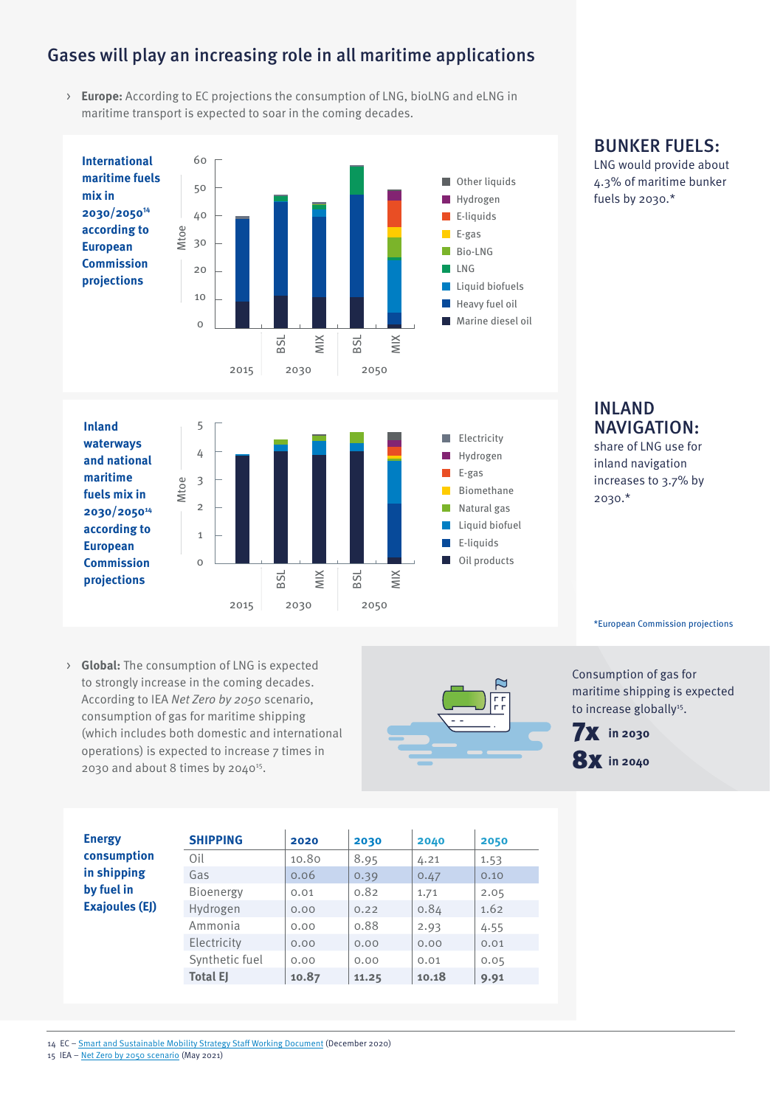#### Gases will play an increasing role in all maritime applications

> **Europe:** According to EC projections the consumption of LNG, bioLNG and eLNG in maritime transport is expected to soar in the coming decades.



#### BUNKER FUELS:

LNG would provide about 4.3% of maritime bunker fuels by 2030.\*

#### INLAND NAVIGATION: share of LNG use for

inland navigation increases to 3.7% by 2030.\*

\*European Commission projections

> **Global:** The consumption of LNG is expected to strongly increase in the coming decades. According to IEA Net Zero by 2050 scenario, consumption of gas for maritime shipping (which includes both domestic and international operations) is expected to increase 7 times in 2030 and about 8 times by 204015.



Consumption of gas for maritime shipping is expected to increase globally<sup>15</sup>.

7**X** in 2030

**8X** in 2040

| <b>Energy</b>                                                     | <b>SHIPPING</b> | 2020  | 2030  | 2040  | 2050 |
|-------------------------------------------------------------------|-----------------|-------|-------|-------|------|
| consumption<br>in shipping<br>by fuel in<br><b>Exajoules (EJ)</b> | Oil             | 10.80 | 8.95  | 4.21  | 1.53 |
|                                                                   | Gas             | 0.06  | 0.39  | 0.47  | 0.10 |
|                                                                   | Bioenergy       | 0.01  | 0.82  | 1.71  | 2.05 |
|                                                                   | Hydrogen        | 0.00  | 0.22  | 0.84  | 1.62 |
|                                                                   | Ammonia         | 0.00  | 0.88  | 2.93  | 4.55 |
|                                                                   | Electricity     | 0.00  | 0.00  | 0.00  | 0.01 |
|                                                                   | Synthetic fuel  | 0.00  | 0.00  | 0.01  | 0.05 |
|                                                                   | <b>Total EJ</b> | 10.87 | 11.25 | 10.18 | 9.91 |

14 EC – [Smart and Sustainable Mobility Strategy Staff Working Document](https://eur-lex.europa.eu/legal-content/EN/TXT/PDF/?uri=CELEX:52020SC0331&from=EN) (December 2020)

15 IEA – [Net Zero by 2050 scenario](https://www.iea.org/data-and-statistics/data-product/net-zero-by-2050-scenario) (May 2021)